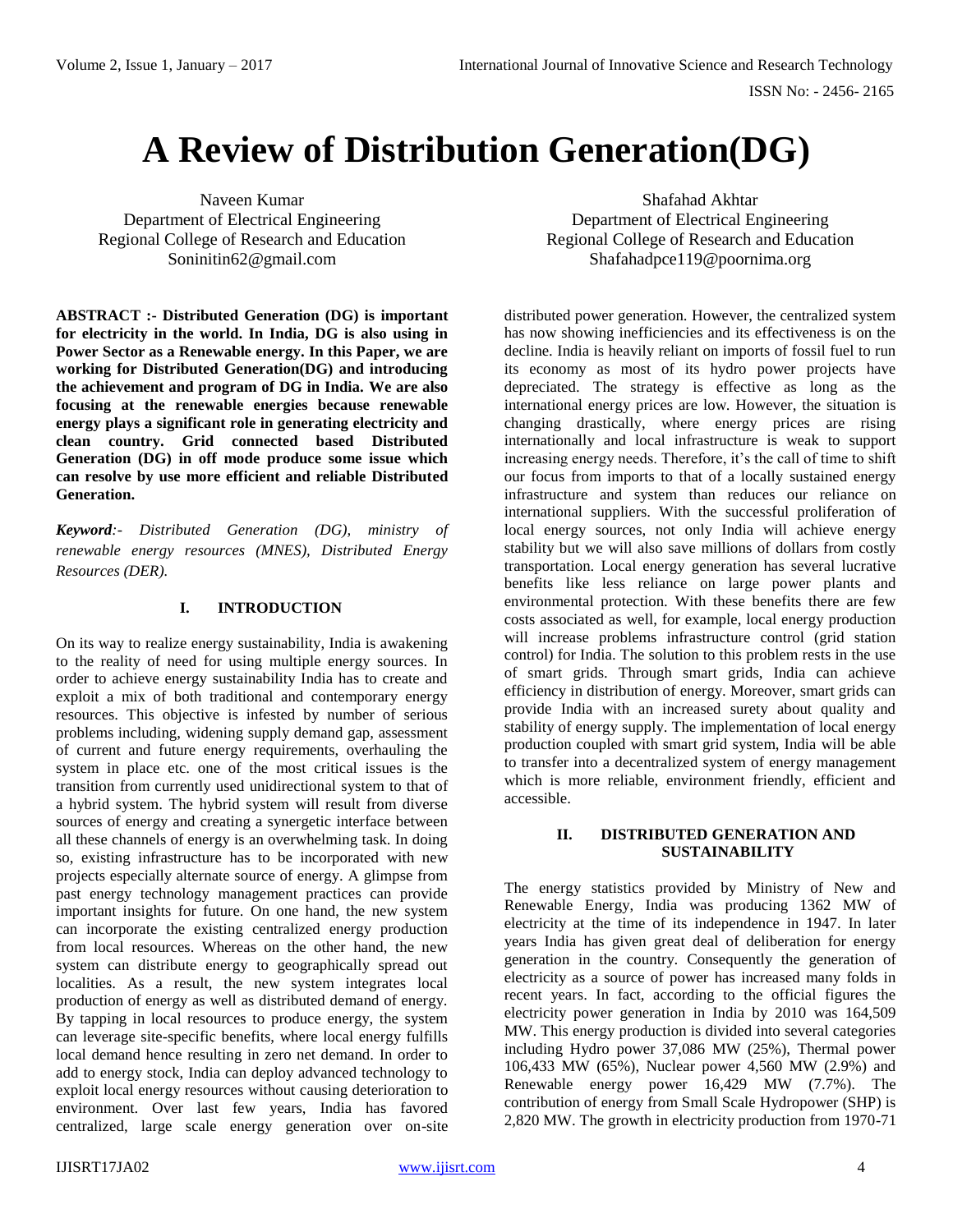# **A Review of Distribution Generation(DG)**

Naveen Kumar Department of Electrical Engineering Regional College of Research and Education Soninitin62@gmail.com

**ABSTRACT :- Distributed Generation (DG) is important for electricity in the world. In India, DG is also using in Power Sector as a Renewable energy. In this Paper, we are working for Distributed Generation(DG) and introducing the achievement and program of DG in India. We are also focusing at the renewable energies because renewable energy plays a significant role in generating electricity and clean country. Grid connected based Distributed Generation (DG) in off mode produce some issue which can resolve by use more efficient and reliable Distributed Generation.**

*Keyword:- Distributed Generation (DG), ministry of renewable energy resources (MNES), Distributed Energy Resources (DER).*

### **I. INTRODUCTION**

On its way to realize energy sustainability, India is awakening to the reality of need for using multiple energy sources. In order to achieve energy sustainability India has to create and exploit a mix of both traditional and contemporary energy resources. This objective is infested by number of serious problems including, widening supply demand gap, assessment of current and future energy requirements, overhauling the system in place etc. one of the most critical issues is the transition from currently used unidirectional system to that of a hybrid system. The hybrid system will result from diverse sources of energy and creating a synergetic interface between all these channels of energy is an overwhelming task. In doing so, existing infrastructure has to be incorporated with new projects especially alternate source of energy. A glimpse from past energy technology management practices can provide important insights for future. On one hand, the new system can incorporate the existing centralized energy production from local resources. Whereas on the other hand, the new system can distribute energy to geographically spread out localities. As a result, the new system integrates local production of energy as well as distributed demand of energy. By tapping in local resources to produce energy, the system can leverage site-specific benefits, where local energy fulfills local demand hence resulting in zero net demand. In order to add to energy stock, India can deploy advanced technology to exploit local energy resources without causing deterioration to environment. Over last few years, India has favored centralized, large scale energy generation over on-site

Shafahad Akhtar Department of Electrical Engineering Regional College of Research and Education Shafahadpce119@poornima.org

distributed power generation. However, the centralized system has now showing inefficiencies and its effectiveness is on the decline. India is heavily reliant on imports of fossil fuel to run its economy as most of its hydro power projects have depreciated. The strategy is effective as long as the international energy prices are low. However, the situation is changing drastically, where energy prices are rising internationally and local infrastructure is weak to support increasing energy needs. Therefore, it's the call of time to shift our focus from imports to that of a locally sustained energy infrastructure and system than reduces our reliance on international suppliers. With the successful proliferation of local energy sources, not only India will achieve energy stability but we will also save millions of dollars from costly transportation. Local energy generation has several lucrative benefits like less reliance on large power plants and environmental protection. With these benefits there are few costs associated as well, for example, local energy production will increase problems infrastructure control (grid station control) for India. The solution to this problem rests in the use of smart grids. Through smart grids, India can achieve efficiency in distribution of energy. Moreover, smart grids can provide India with an increased surety about quality and stability of energy supply. The implementation of local energy production coupled with smart grid system, India will be able to transfer into a decentralized system of energy management which is more reliable, environment friendly, efficient and accessible.

#### **II. DISTRIBUTED GENERATION AND SUSTAINABILITY**

The energy statistics provided by Ministry of New and Renewable Energy, India was producing 1362 MW of electricity at the time of its independence in 1947. In later years India has given great deal of deliberation for energy generation in the country. Consequently the generation of electricity as a source of power has increased many folds in recent years. In fact, according to the official figures the electricity power generation in India by 2010 was 164,509 MW. This energy production is divided into several categories including Hydro power 37,086 MW (25%), Thermal power 106,433 MW (65%), Nuclear power 4,560 MW (2.9%) and Renewable energy power 16,429 MW (7.7%). The contribution of energy from Small Scale Hydropower (SHP) is 2,820 MW. The growth in electricity production from 1970-71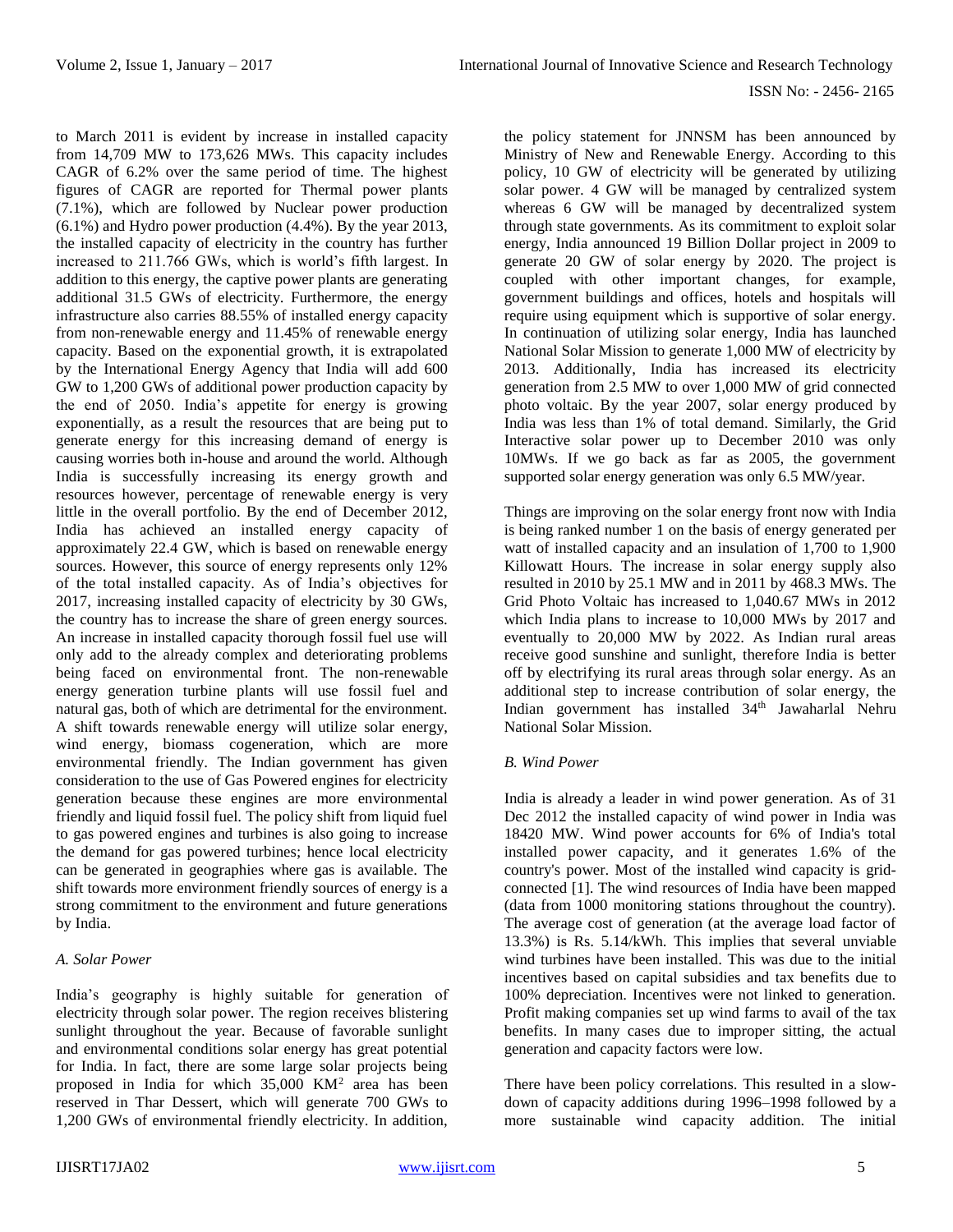to March 2011 is evident by increase in installed capacity from 14,709 MW to 173,626 MWs. This capacity includes CAGR of 6.2% over the same period of time. The highest figures of CAGR are reported for Thermal power plants (7.1%), which are followed by Nuclear power production (6.1%) and Hydro power production (4.4%). By the year 2013, the installed capacity of electricity in the country has further increased to 211.766 GWs, which is world's fifth largest. In addition to this energy, the captive power plants are generating additional 31.5 GWs of electricity. Furthermore, the energy infrastructure also carries 88.55% of installed energy capacity from non-renewable energy and 11.45% of renewable energy capacity. Based on the exponential growth, it is extrapolated by the International Energy Agency that India will add 600 GW to 1,200 GWs of additional power production capacity by the end of 2050. India's appetite for energy is growing exponentially, as a result the resources that are being put to generate energy for this increasing demand of energy is causing worries both in-house and around the world. Although India is successfully increasing its energy growth and resources however, percentage of renewable energy is very little in the overall portfolio. By the end of December 2012, India has achieved an installed energy capacity of approximately 22.4 GW, which is based on renewable energy sources. However, this source of energy represents only 12% of the total installed capacity. As of India's objectives for 2017, increasing installed capacity of electricity by 30 GWs, the country has to increase the share of green energy sources. An increase in installed capacity thorough fossil fuel use will only add to the already complex and deteriorating problems being faced on environmental front. The non-renewable energy generation turbine plants will use fossil fuel and natural gas, both of which are detrimental for the environment. A shift towards renewable energy will utilize solar energy, wind energy, biomass cogeneration, which are more environmental friendly. The Indian government has given consideration to the use of Gas Powered engines for electricity generation because these engines are more environmental friendly and liquid fossil fuel. The policy shift from liquid fuel to gas powered engines and turbines is also going to increase the demand for gas powered turbines; hence local electricity can be generated in geographies where gas is available. The shift towards more environment friendly sources of energy is a strong commitment to the environment and future generations by India.

## *A. Solar Power*

India's geography is highly suitable for generation of electricity through solar power. The region receives blistering sunlight throughout the year. Because of favorable sunlight and environmental conditions solar energy has great potential for India. In fact, there are some large solar projects being proposed in India for which  $35,000$  KM<sup>2</sup> area has been reserved in Thar Dessert, which will generate 700 GWs to 1,200 GWs of environmental friendly electricity. In addition,

the policy statement for JNNSM has been announced by Ministry of New and Renewable Energy. According to this policy, 10 GW of electricity will be generated by utilizing solar power. 4 GW will be managed by centralized system whereas 6 GW will be managed by decentralized system through state governments. As its commitment to exploit solar energy, India announced 19 Billion Dollar project in 2009 to generate 20 GW of solar energy by 2020. The project is coupled with other important changes, for example, government buildings and offices, hotels and hospitals will require using equipment which is supportive of solar energy. In continuation of utilizing solar energy, India has launched National Solar Mission to generate 1,000 MW of electricity by 2013. Additionally, India has increased its electricity generation from 2.5 MW to over 1,000 MW of grid connected photo voltaic. By the year 2007, solar energy produced by India was less than 1% of total demand. Similarly, the Grid Interactive solar power up to December 2010 was only 10MWs. If we go back as far as 2005, the government supported solar energy generation was only 6.5 MW/year.

Things are improving on the solar energy front now with India is being ranked number 1 on the basis of energy generated per watt of installed capacity and an insulation of 1,700 to 1,900 Killowatt Hours. The increase in solar energy supply also resulted in 2010 by 25.1 MW and in 2011 by 468.3 MWs. The Grid Photo Voltaic has increased to 1,040.67 MWs in 2012 which India plans to increase to 10,000 MWs by 2017 and eventually to 20,000 MW by 2022. As Indian rural areas receive good sunshine and sunlight, therefore India is better off by electrifying its rural areas through solar energy. As an additional step to increase contribution of solar energy, the Indian government has installed 34<sup>th</sup> Jawaharlal Nehru National Solar Mission.

## *B. Wind Power*

India is already a leader in wind power generation. As of 31 Dec 2012 the installed capacity of wind power in India was 18420 MW. Wind power accounts for 6% of India's total installed power capacity, and it generates 1.6% of the country's power. Most of the installed wind capacity is gridconnected [1]. The wind resources of India have been mapped (data from 1000 monitoring stations throughout the country). The average cost of generation (at the average load factor of 13.3%) is Rs. 5.14/kWh. This implies that several unviable wind turbines have been installed. This was due to the initial incentives based on capital subsidies and tax benefits due to 100% depreciation. Incentives were not linked to generation. Profit making companies set up wind farms to avail of the tax benefits. In many cases due to improper sitting, the actual generation and capacity factors were low.

There have been policy correlations. This resulted in a slowdown of capacity additions during 1996–1998 followed by a more sustainable wind capacity addition. The initial